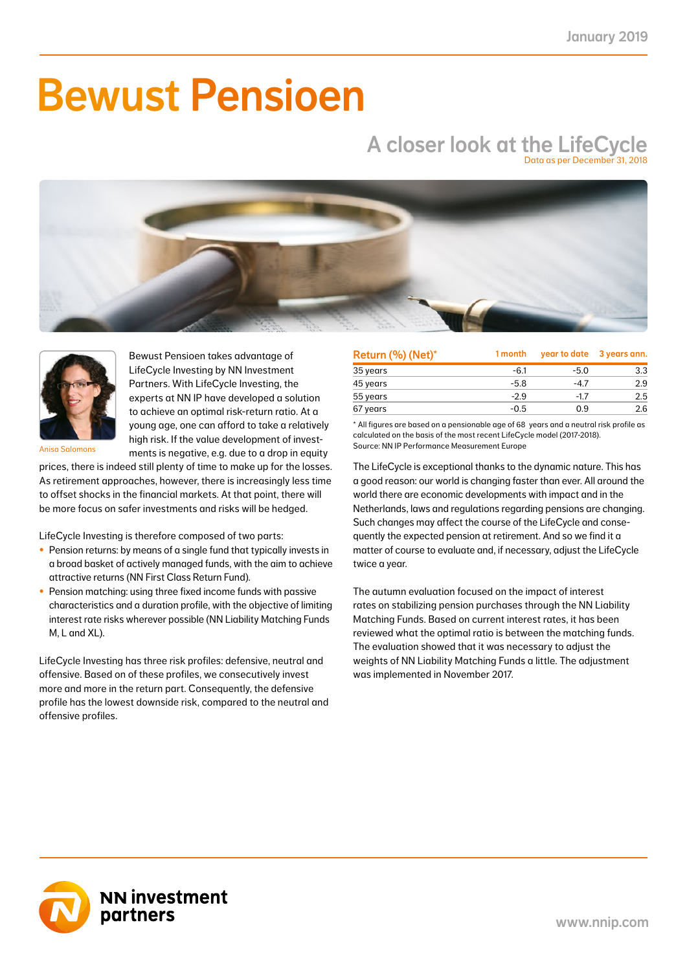# Bewust Pensioen

### A closer look at the LifeCycle Data as per December 31, 2018





Bewust Pensioen takes advantage of LifeCycle Investing by NN Investment Partners. With LifeCycle Investing, the experts at NN IP have developed a solution to achieve an optimal risk-return ratio. At a young age, one can afford to take a relatively high risk. If the value development of investments is negative, e.g. due to a drop in equity

Anisa Salomons

prices, there is indeed still plenty of time to make up for the losses. As retirement approaches, however, there is increasingly less time to offset shocks in the financial markets. At that point, there will be more focus on safer investments and risks will be hedged.

LifeCycle Investing is therefore composed of two parts:

- Pension returns: by means of a single fund that typically invests in a broad basket of actively managed funds, with the aim to achieve attractive returns (NN First Class Return Fund).
- Pension matching: using three fixed income funds with passive characteristics and a duration profile, with the objective of limiting interest rate risks wherever possible (NN Liability Matching Funds M, L and XL).

LifeCycle Investing has three risk profiles: defensive, neutral and offensive. Based on of these profiles, we consecutively invest more and more in the return part. Consequently, the defensive profile has the lowest downside risk, compared to the neutral and offensive profiles.

| Return (%) (Net)* | 1 month |        | year to date 3 years ann. |
|-------------------|---------|--------|---------------------------|
| 35 years          | -6.1    | $-5.0$ | 3.3                       |
| 45 years          | $-5.8$  | $-4.7$ | 2.9                       |
| 55 years          | $-2.9$  | $-1.7$ | $2.5^{\circ}$             |
| 67 years          | $-0.5$  | 0.9    | 2.6                       |

\* All figures are based on a pensionable age of 68 years and a neutral risk profile as calculated on the basis of the most recent LifeCycle model (2017-2018). Source: NN IP Performance Measurement Europe

The LifeCycle is exceptional thanks to the dynamic nature. This has a good reason: our world is changing faster than ever. All around the world there are economic developments with impact and in the Netherlands, laws and regulations regarding pensions are changing. Such changes may affect the course of the LifeCycle and consequently the expected pension at retirement. And so we find it a matter of course to evaluate and, if necessary, adjust the LifeCycle twice a year.

The autumn evaluation focused on the impact of interest rates on stabilizing pension purchases through the NN Liability Matching Funds. Based on current interest rates, it has been reviewed what the optimal ratio is between the matching funds. The evaluation showed that it was necessary to adjust the weights of NN Liability Matching Funds a little. The adjustment was implemented in November 2017.

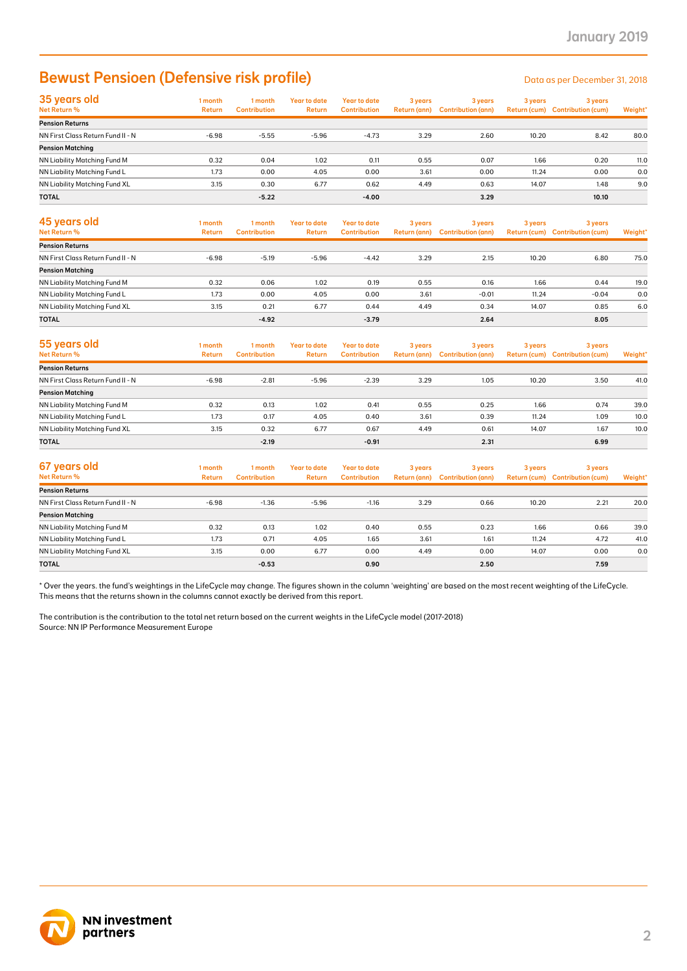## Bewust Pensioen (Defensive risk profile) Data as per December 31, 2018

| 35 years old<br>Net Return %        | 1 month<br>Return | 1 month<br><b>Contribution</b> | Year to date<br>Return | Year to date<br><b>Contribution</b> | 3 years<br><b>Return (ann)</b> | 3 years<br><b>Contribution (ann)</b> | 3 years | 3 years<br>Return (cum) Contribution (cum) | Weight* |
|-------------------------------------|-------------------|--------------------------------|------------------------|-------------------------------------|--------------------------------|--------------------------------------|---------|--------------------------------------------|---------|
| <b>Pension Returns</b>              |                   |                                |                        |                                     |                                |                                      |         |                                            |         |
| NN First Class Return Fund II - N   | $-6.98$           | $-5.55$                        | $-5.96$                | $-4.73$                             | 3.29                           | 2.60                                 | 10.20   | 8.42                                       | 80.0    |
| <b>Pension Matching</b>             |                   |                                |                        |                                     |                                |                                      |         |                                            |         |
| <b>NN Liability Matching Fund M</b> | 0.32              | 0.04                           | 1.02                   | 0.11                                | 0.55                           | 0.07                                 | 1.66    | 0.20                                       | 11.0    |
| NN Liability Matching Fund L        | 1.73              | 0.00                           | 4.05                   | 0.00                                | 3.61                           | 0.00                                 | 11.24   | 0.00                                       | 0.0     |
| NN Liability Matching Fund XL       | 3.15              | 0.30                           | 6.77                   | 0.62                                | 4.49                           | 0.63                                 | 14.07   | 1.48                                       | 9.0     |
| <b>TOTAL</b>                        |                   | $-5.22$                        |                        | $-4.00$                             |                                | 3.29                                 |         | 10.10                                      |         |

| 45 years old<br>Net Return %      | 1 month<br><b>Return</b> | 1 month<br><b>Contribution</b> | Year to date<br><b>Return</b> | Year to date<br><b>Contribution</b> | 3 years | 3 years<br>Return (ann) Contribution (ann) | 3 years | 3 years<br>Return (cum) Contribution (cum) | Weight* |
|-----------------------------------|--------------------------|--------------------------------|-------------------------------|-------------------------------------|---------|--------------------------------------------|---------|--------------------------------------------|---------|
| <b>Pension Returns</b>            |                          |                                |                               |                                     |         |                                            |         |                                            |         |
| NN First Class Return Fund II - N | $-6.98$                  | $-5.19$                        | $-5.96$                       | $-4.42$                             | 3.29    | 2.15                                       | 10.20   | 6.80                                       | 75.0    |
| <b>Pension Matching</b>           |                          |                                |                               |                                     |         |                                            |         |                                            |         |
| NN Liability Matching Fund M      | 0.32                     | 0.06                           | 1.02                          | 0.19                                | 0.55    | 0.16                                       | 1.66    | 0.44                                       | 19.0    |
| NN Liability Matching Fund L      | 1.73                     | 0.00                           | 4.05                          | 0.00                                | 3.61    | $-0.01$                                    | 11.24   | $-0.04$                                    | 0.0     |
| NN Liability Matching Fund XL     | 3.15                     | 0.21                           | 6.77                          | 0.44                                | 4.49    | 0.34                                       | 14.07   | 0.85                                       | 6.0     |
| <b>TOTAL</b>                      |                          | $-4.92$                        |                               | $-3.79$                             |         | 2.64                                       |         | 8.05                                       |         |

| 55 years old<br>Net Return %      | 1 month<br><b>Return</b> | 1 month<br><b>Contribution</b> | <b>Year to date</b><br><b>Return</b> | Year to date<br><b>Contribution</b> | 3 years | 3 years<br>Return (ann) Contribution (ann) | 3 years | 3 years<br>Return (cum) Contribution (cum) | Weight* |
|-----------------------------------|--------------------------|--------------------------------|--------------------------------------|-------------------------------------|---------|--------------------------------------------|---------|--------------------------------------------|---------|
| <b>Pension Returns</b>            |                          |                                |                                      |                                     |         |                                            |         |                                            |         |
| NN First Class Return Fund II - N | $-6.98$                  | $-2.81$                        | $-5.96$                              | $-2.39$                             | 3.29    | 1.05                                       | 10.20   | 3.50                                       | 41.0    |
| <b>Pension Matching</b>           |                          |                                |                                      |                                     |         |                                            |         |                                            |         |
| NN Liability Matching Fund M      | 0.32                     | 0.13                           | 1.02                                 | 0.41                                | 0.55    | 0.25                                       | 1.66    | 0.74                                       | 39.0    |
| NN Liability Matching Fund L      | 1.73                     | 0.17                           | 4.05                                 | 0.40                                | 3.61    | 0.39                                       | 11.24   | 1.09                                       | 10.0    |
| NN Liability Matching Fund XL     | 3.15                     | 0.32                           | 6.77                                 | 0.67                                | 4.49    | 0.61                                       | 14.07   | 1.67                                       | 10.0    |
| <b>TOTAL</b>                      |                          | $-2.19$                        |                                      | $-0.91$                             |         | 2.31                                       |         | 6.99                                       |         |

| 67 years old<br>Net Return %      | 1 month<br><b>Return</b> | 1 month<br><b>Contribution</b> | Year to date<br>Return | Year to date<br><b>Contribution</b> | 3 years | 3 years<br>Return (ann) Contribution (ann) | 3 years | 3 years<br>Return (cum) Contribution (cum) | Weight* |
|-----------------------------------|--------------------------|--------------------------------|------------------------|-------------------------------------|---------|--------------------------------------------|---------|--------------------------------------------|---------|
| <b>Pension Returns</b>            |                          |                                |                        |                                     |         |                                            |         |                                            |         |
| NN First Class Return Fund II - N | $-6.98$                  | $-1.36$                        | $-5.96$                | $-1.16$                             | 3.29    | 0.66                                       | 10.20   | 2.21                                       | 20.0    |
| <b>Pension Matching</b>           |                          |                                |                        |                                     |         |                                            |         |                                            |         |
| NN Liability Matching Fund M      | 0.32                     | 0.13                           | 1.02                   | 0.40                                | 0.55    | 0.23                                       | 1.66    | 0.66                                       | 39.0    |
| NN Liability Matching Fund L      | 1.73                     | 0.71                           | 4.05                   | 1.65                                | 3.61    | 1.61                                       | 11.24   | 4.72                                       | 41.0    |
| NN Liability Matching Fund XL     | 3.15                     | 0.00                           | 6.77                   | 0.00                                | 4.49    | 0.00                                       | 14.07   | 0.00                                       | 0.0     |
| <b>TOTAL</b>                      |                          | $-0.53$                        |                        | 0.90                                |         | 2.50                                       |         | 7.59                                       |         |

\* Over the years. the fund's weightings in the LifeCycle may change. The figures shown in the column 'weighting' are based on the most recent weighting of the LifeCycle. This means that the returns shown in the columns cannot exactly be derived from this report.

The contribution is the contribution to the total net return based on the current weights in the LifeCycle model (2017-2018) Source: NN IP Performance Measurement Europe

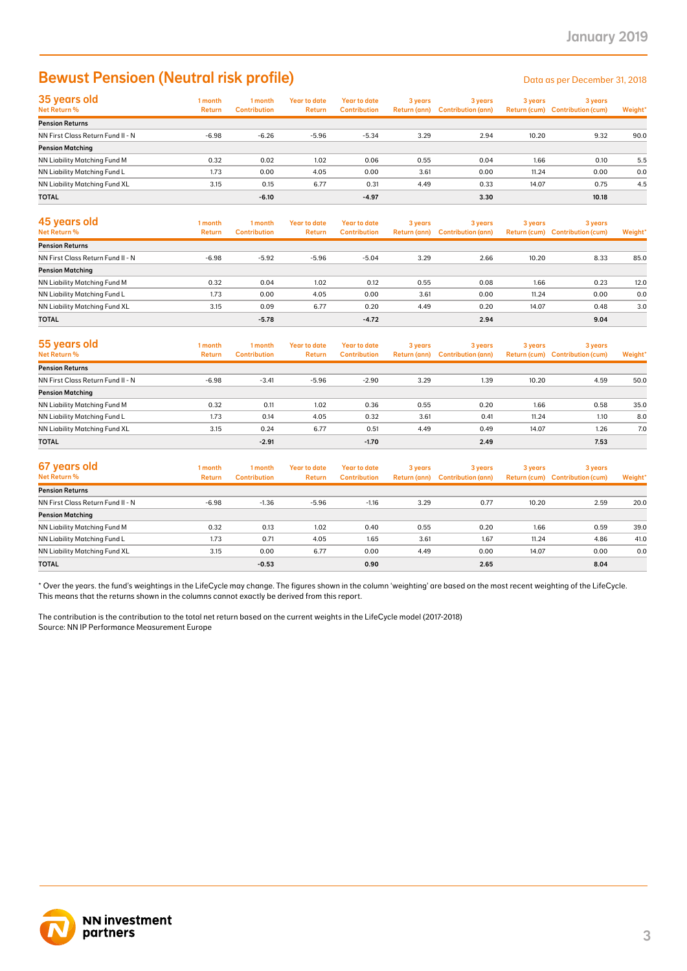## Bewust Pensioen (Neutral risk profile) Data as per December 31, 2018

| 35 years old<br>Net Return %        | 1 month<br><b>Return</b> | 1 month<br><b>Contribution</b> | <b>Year to date</b><br><b>Return</b> | <b>Year to date</b><br><b>Contribution</b> | 3 years<br>Return (ann) | 3 years<br><b>Contribution (ann)</b> | 3 years | 3 years<br>Return (cum) Contribution (cum) | Weight* |
|-------------------------------------|--------------------------|--------------------------------|--------------------------------------|--------------------------------------------|-------------------------|--------------------------------------|---------|--------------------------------------------|---------|
| <b>Pension Returns</b>              |                          |                                |                                      |                                            |                         |                                      |         |                                            |         |
| NN First Class Return Fund II - N   | $-6.98$                  | $-6.26$                        | $-5.96$                              | $-5.34$                                    | 3.29                    | 2.94                                 | 10.20   | 9.32                                       | 90.0    |
| <b>Pension Matching</b>             |                          |                                |                                      |                                            |                         |                                      |         |                                            |         |
| <b>NN Liability Matching Fund M</b> | 0.32                     | 0.02                           | 1.02                                 | 0.06                                       | 0.55                    | 0.04                                 | 1.66    | 0.10                                       | 5.5     |
| NN Liability Matching Fund L        | 1.73                     | 0.00                           | 4.05                                 | 0.00                                       | 3.61                    | 0.00                                 | 11.24   | 0.00                                       | 0.0     |
| NN Liability Matching Fund XL       | 3.15                     | 0.15                           | 6.77                                 | 0.31                                       | 4.49                    | 0.33                                 | 14.07   | 0.75                                       | 4.5     |
| <b>TOTAL</b>                        |                          | $-6.10$                        |                                      | $-4.97$                                    |                         | 3.30                                 |         | 10.18                                      |         |

| 45 years old<br>Net Return %      | 1 month<br><b>Return</b> | 1 month<br><b>Contribution</b> | <b>Year to date</b><br>Return | Year to date<br><b>Contribution</b> | 3 years | 3 years<br>Return (ann) Contribution (ann) | 3 years | 3 years<br>Return (cum) Contribution (cum) | Weight* |
|-----------------------------------|--------------------------|--------------------------------|-------------------------------|-------------------------------------|---------|--------------------------------------------|---------|--------------------------------------------|---------|
| <b>Pension Returns</b>            |                          |                                |                               |                                     |         |                                            |         |                                            |         |
| NN First Class Return Fund II - N | $-6.98$                  | $-5.92$                        | $-5.96$                       | $-5.04$                             | 3.29    | 2.66                                       | 10.20   | 8.33                                       | 85.0    |
| <b>Pension Matching</b>           |                          |                                |                               |                                     |         |                                            |         |                                            |         |
| NN Liability Matching Fund M      | 0.32                     | 0.04                           | 1.02                          | 0.12                                | 0.55    | 0.08                                       | 1.66    | 0.23                                       | 12.0    |
| NN Liability Matching Fund L      | 1.73                     | 0.00                           | 4.05                          | 0.00                                | 3.61    | 0.00                                       | 11.24   | 0.00                                       | 0.0     |
| NN Liability Matching Fund XL     | 3.15                     | 0.09                           | 6.77                          | 0.20                                | 4.49    | 0.20                                       | 14.07   | 0.48                                       | 3.0     |
| <b>TOTAL</b>                      |                          | $-5.78$                        |                               | $-4.72$                             |         | 2.94                                       |         | 9.04                                       |         |

| 55 years old<br>Net Return %      | 1 month<br><b>Return</b> | 1 month<br><b>Contribution</b> | Year to date<br><b>Return</b> | Year to date<br><b>Contribution</b> | 3 years<br>Return (ann) | 3 years<br><b>Contribution (gnn)</b> | 3 years | 3 years<br>Return (cum) Contribution (cum) | Weight* |
|-----------------------------------|--------------------------|--------------------------------|-------------------------------|-------------------------------------|-------------------------|--------------------------------------|---------|--------------------------------------------|---------|
| <b>Pension Returns</b>            |                          |                                |                               |                                     |                         |                                      |         |                                            |         |
| NN First Class Return Fund II - N | $-6.98$                  | $-3.41$                        | $-5.96$                       | $-2.90$                             | 3.29                    | 1.39                                 | 10.20   | 4.59                                       | 50.0    |
| <b>Pension Matching</b>           |                          |                                |                               |                                     |                         |                                      |         |                                            |         |
| NN Liability Matching Fund M      | 0.32                     | 0.11                           | 1.02                          | 0.36                                | 0.55                    | 0.20                                 | 1.66    | 0.58                                       | 35.0    |
| NN Liability Matching Fund L      | 1.73                     | 0.14                           | 4.05                          | 0.32                                | 3.61                    | 0.41                                 | 11.24   | 1.10                                       | 8.0     |
| NN Liability Matching Fund XL     | 3.15                     | 0.24                           | 6.77                          | 0.51                                | 4.49                    | 0.49                                 | 14.07   | 1.26                                       | 7.0     |
| <b>TOTAL</b>                      |                          | $-2.91$                        |                               | $-1.70$                             |                         | 2.49                                 |         | 7.53                                       |         |

| 67 years old<br>Net Return %      | 1 month<br><b>Return</b> | 1 month<br><b>Contribution</b> | Year to date<br>Return | Year to date<br><b>Contribution</b> | 3 years | 3 years<br>Return (ann) Contribution (ann) | 3 years | 3 years<br>Return (cum) Contribution (cum) | Weight* |
|-----------------------------------|--------------------------|--------------------------------|------------------------|-------------------------------------|---------|--------------------------------------------|---------|--------------------------------------------|---------|
| <b>Pension Returns</b>            |                          |                                |                        |                                     |         |                                            |         |                                            |         |
| NN First Class Return Fund II - N | $-6.98$                  | $-1.36$                        | $-5.96$                | $-1.16$                             | 3.29    | 0.77                                       | 10.20   | 2.59                                       | 20.0    |
| <b>Pension Matching</b>           |                          |                                |                        |                                     |         |                                            |         |                                            |         |
| NN Liability Matching Fund M      | 0.32                     | 0.13                           | 1.02                   | 0.40                                | 0.55    | 0.20                                       | 1.66    | 0.59                                       | 39.0    |
| NN Liability Matching Fund L      | 1.73                     | 0.71                           | 4.05                   | 1.65                                | 3.61    | 1.67                                       | 11.24   | 4.86                                       | 41.0    |
| NN Liability Matching Fund XL     | 3.15                     | 0.00                           | 6.77                   | 0.00                                | 4.49    | 0.00                                       | 14.07   | 0.00                                       | 0.0     |
| <b>TOTAL</b>                      |                          | $-0.53$                        |                        | 0.90                                |         | 2.65                                       |         | 8.04                                       |         |

\* Over the years. the fund's weightings in the LifeCycle may change. The figures shown in the column 'weighting' are based on the most recent weighting of the LifeCycle. This means that the returns shown in the columns cannot exactly be derived from this report.

The contribution is the contribution to the total net return based on the current weights in the LifeCycle model (2017-2018) Source: NN IP Performance Measurement Europe